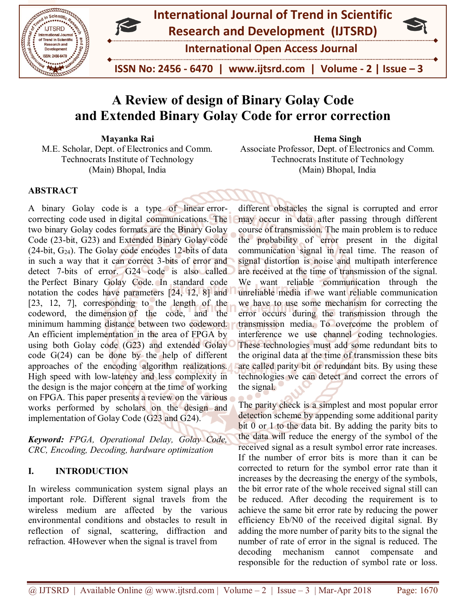



**International Open Access Journal**

 **ISSN No: 2456 - 6470 | www.ijtsrd.com | Volume - 2 | Issue – 3**

# **A Review of design of Binary Golay Code and Extended Binary Golay Code for error correction**

**Mayanka Rai**

M.E. Scholar, Dept. of Electronics and Comm. Technocrats Institute of Technology (Main) Bhopal, India

**Hema Singh**

Associate Professor, Dept. of Electronics and Comm. Technocrats Institute of Technology (Main) Bhopal, India

## **ABSTRACT**

A binary Golay code is a type of linear errorcorrecting code used in digital communications. The two binary Golay codes formats are the Binary Golay Code (23-bit, G23) and Extended Binary Golay code  $(24-bit, G<sub>24</sub>)$ . The Golay code encodes 12-bits of data in such a way that it can correct 3-bits of error and detect 7-bits of error. G24 code is also called the Perfect Binary Golay Code. In standard code notation the codes have parameters [24, 12, 8] and [23, 12, 7], corresponding to the length of the codeword, the dimension of the code, and the minimum hamming distance between two codeword. An efficient implementation in the area of FPGA by using both Golay code (G23) and extended Golay code G(24) can be done by the help of different approaches of the encoding algorithm realizations. High speed with low-latency and less complexity in the design is the major concern at the time of working on FPGA. This paper presents a review on the various works performed by scholars on the design and implementation of Golay Code (G23 and G24).

*Keyword: FPGA, Operational Delay, Golay Code, CRC, Encoding, Decoding, hardware optimization*

## **I. INTRODUCTION**

In wireless communication system signal plays an important role. Different signal travels from the wireless medium are affected by the various environmental conditions and obstacles to result in reflection of signal, scattering, diffraction and refraction. 4However when the signal is travel from

different obstacles the signal is corrupted and error may occur in data after passing through different course of transmission. The main problem is to reduce the probability of error present in the digital communication signal in real time. The reason of signal distortion is noise and multipath interference are received at the time of transmission of the signal. We want reliable communication through the unreliable media if we want reliable communication we have to use some mechanism for correcting the error occurs during the transmission through the transmission media. To overcome the problem of interference we use channel coding technologies. These technologies must add some redundant bits to the original data at the time of transmission these bits are called parity bit or redundant bits. By using these technologies we can detect and correct the errors of the signal.

The parity check is a simplest and most popular error detection scheme by appending some additional parity bit 0 or 1 to the data bit. By adding the parity bits to the data will reduce the energy of the symbol of the received signal as a result symbol error rate increases. If the number of error bits is more than it can be corrected to return for the symbol error rate than it increases by the decreasing the energy of the symbols, the bit error rate of the whole received signal still can be reduced. After decoding the requirement is to achieve the same bit error rate by reducing the power efficiency Eb/N0 of the received digital signal. By adding the more number of parity bits to the signal the number of rate of error in the signal is reduced. The decoding mechanism cannot compensate and responsible for the reduction of symbol rate or loss.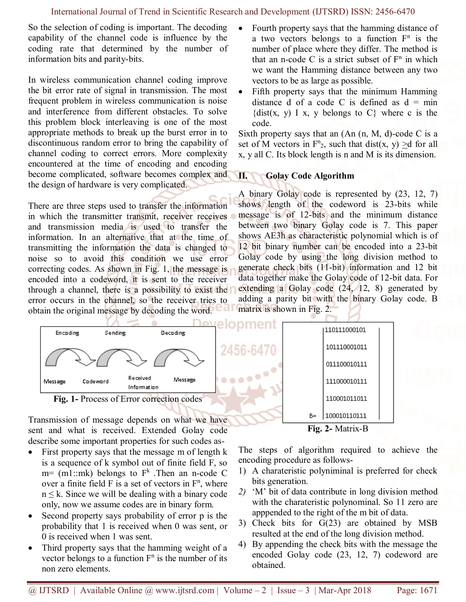So the selection of coding is important. The decoding capability of the channel code is influence by the coding rate that determined by the number of information bits and parity-bits.

In wireless communication channel coding improve the bit error rate of signal in transmission. The most frequent problem in wireless communication is noise and interference from different obstacles. To solve this problem block interleaving is one of the most appropriate methods to break up the burst error in to discontinuous random error to bring the capability of channel coding to correct errors. More complexity encountered at the time of encoding and encoding become complicated, software becomes complex and the design of hardware is very complicated.

There are three steps used to transfer the information in which the transmitter transmit, receiver receives and transmission media is used to transfer the information. In an alternative that at the time of transmitting the information the data is changed to noise so to avoid this condition we use error correcting codes. As shown in Fig. 1, the message is encoded into a codeword, it is sent to the receiver through a channel, there is a possibility to exist the error occurs in the channel, so the receiver tries to obtain the original message by decoding the word.

- Fourth property says that the hamming distance of a two vectors belongs to a function  $F<sup>n</sup>$  is the number of place where they differ. The method is that an n-code C is a strict subset of  $F<sup>n</sup>$  in which we want the Hamming distance between any two vectors to be as large as possible.
- Fifth property says that the minimum Hamming distance d of a code C is defined as  $d = min$  $\{dist(x, y) \mid x, y \}$  belongs to C where c is the code.

Sixth property says that an  $(An (n, M, d)-code C$  is a set of M vectors in  $F_{2}^{n}$ , such that dist(x, y)  $\geq d$  for all x, y all C. Its block length is n and M is its dimension.

#### **II. Golay Code Algorithm**

A binary Golay code is represented by (23, 12, 7) shows length of the codeword is 23-bits while message is of 12-bits and the minimum distance between two binary Golay code is 7. This paper shows AE3h as characteristic polynomial which is of 12 bit binary number can be encoded into a 23-bit Golay code by using the long division method to generate check bits (11-bit) information and 12 bit data together make the Golay code of 12-bit data. For extending a Golay code (24, 12, 8) generated by adding a parity bit with the binary Golay code. B matrix is shown in Fig. 2.



Transmission of message depends on what we have sent and what is received. Extended Golay code describe some important properties for such codes as-

- First property says that the message m of length k is a sequence of k symbol out of finite field F, so  $m=$  (m1::mk) belongs to  $F<sup>k</sup>$ . Then an n-code C over a finite field  $F$  is a set of vectors in  $F<sup>n</sup>$ , where  $n \leq k$ . Since we will be dealing with a binary code only, now we assume codes are in binary form.
- Second property says probability of error p is the probability that 1 is received when 0 was sent, or 0 is received when 1 was sent.
- Third property says that the hamming weight of a vector belongs to a function  $F<sup>n</sup>$  is the number of its non zero elements.

The steps of algorithm required to achieve the encoding procedure as follows-

**Fig. 2-** Matrix-B

- 1) A charateristic polyniminal is preferred for check bits generation.
- *2)* 'M' bit of data contribute in long division method with the charateristic polynominal. So 11 zero are apppended to the right of the m bit of data.
- 3) Check bits for G(23) are obtained by MSB resulted at the end of the long division method.
- 4) By appending the check bits with the message the encoded Golay code (23, 12, 7) codeword are obtained.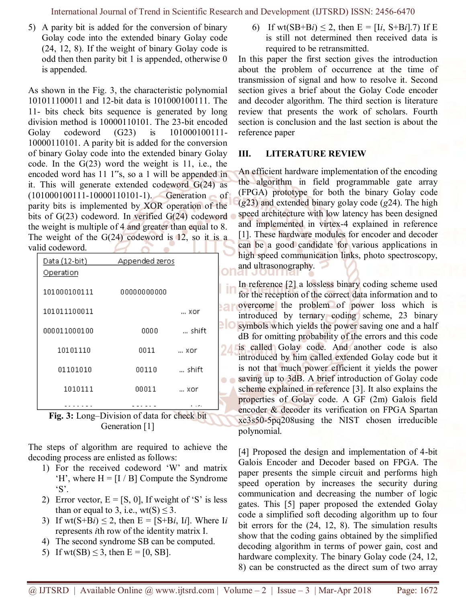International Journal of Trend in Scientific Research and Development (IJTSRD) ISSN: 2456-6470

5) A parity bit is added for the conversion of binary Golay code into the extended binary Golay code (24, 12, 8). If the weight of binary Golay code is odd then then parity bit 1 is appended, otherwise 0 is appended.

As shown in the Fig. 3, the characteristic polynomial 101011100011 and 12-bit data is 101000100111. The 11- bits check bits sequence is generated by long division method is 10000110101. The 23-bit encoded Golay codeword (G23) is 101000100111-10000110101. A parity bit is added for the conversion of binary Golay code into the extended binary Golay code. In the G(23) word the weight is 11, i.e., the encoded word has 11 1"s, so a 1 will be appended in it. This will generate extended codeword G(24) as (101000100111-10000110101-1). Generation of parity bits is implemented by XOR operation of the bits of G(23) codeword. In verified G(24) codeword the weight is multiple of 4 and greater than equal to 8. The weight of the  $G(24)$  codeword is 12, so it is a valid codeword. ×  $\blacktriangleright$ n

| Data (12-bit)                                   | <b>Appended zeros</b>       |                      |  |
|-------------------------------------------------|-----------------------------|----------------------|--|
| Operation                                       |                             |                      |  |
| 101000100111                                    |                             |                      |  |
|                                                 | 00000000000                 |                      |  |
| 101011100011                                    |                             | xor                  |  |
|                                                 |                             |                      |  |
| 000011000100                                    | 0000                        | shift                |  |
| 10101110                                        | 0011                        | xor                  |  |
|                                                 |                             |                      |  |
| 01101010                                        | 00110                       | shift                |  |
| 1010111                                         | 00011                       | xor                  |  |
|                                                 |                             |                      |  |
| $\mathbf{r}$<br>$\mathbf{A}$ $\mathbf{I}$<br>m. | $\mathbf{c}$ 1 $\mathbf{c}$ | <b>The Committee</b> |  |



The steps of algorithm are required to achieve the decoding process are enlisted as follows:

- 1) For the received codeword 'W' and matrix  $H'$ , where  $H = [I / B]$  Compute the Syndrome 'S'.
- 2) Error vector,  $E = [S, 0]$ , If weight of 'S' is less than or equal to 3, i.e., wt(S)  $\leq$  3.
- 3) If  $wt(S+Bi) \leq 2$ , then  $E = [S+Bi, Ii]$ . Where I*i* represents *i*th row of the identity matrix I.
- 4) The second syndrome SB can be computed.
- 5) If wt(SB)  $\leq$  3, then E = [0, SB].

6) If wt(SB+B*i*)  $\leq$  2, then E = [I*i*, S+B*i*].7) If E is still not determined then received data is required to be retransmitted.

In this paper the first section gives the introduction about the problem of occurrence at the time of transmission of signal and how to resolve it. Second section gives a brief about the Golay Code encoder and decoder algorithm. The third section is literature review that presents the work of scholars. Fourth section is conclusion and the last section is about the reference paper

#### **III. LITERATURE REVIEW**

An efficient hardware implementation of the encoding the algorithm in field programmable gate array (FPGA) prototype for both the binary Golay code (*g*23) and extended binary golay code (*g*24). The high speed architecture with low latency has been designed and implemented in virtex-4 explained in reference [1]. These hardware modules for encoder and decoder can be a good candidate for various applications in high speed communication links, photo spectroscopy, and ultrasonography.

In reference [2] a lossless binary coding scheme used for the reception of the correct data information and to **overcome** the problem of power loss which is introduced by ternary coding scheme, 23 binary symbols which yields the power saving one and a half dB for omitting probability of the errors and this code **is called Golay code.** And another code is also introduced by him called extended Golay code but it is not that much power efficient it yields the power saving up to 3dB. A brief introduction of Golay code scheme explained in reference [3]. It also explains the properties of Golay code. A GF (2m) Galois field encoder & decoder its verification on FPGA Spartan xc3s50-5pq208using the NIST chosen irreducible polynomial.

[4] Proposed the design and implementation of 4-bit Galois Encoder and Decoder based on FPGA. The paper presents the simple circuit and performs high speed operation by increases the security during communication and decreasing the number of logic gates. This [5] paper proposed the extended Golay code a simplified soft decoding algorithm up to four bit errors for the (24, 12, 8). The simulation results show that the coding gains obtained by the simplified decoding algorithm in terms of power gain, cost and hardware complexity. The binary Golay code (24, 12, 8) can be constructed as the direct sum of two array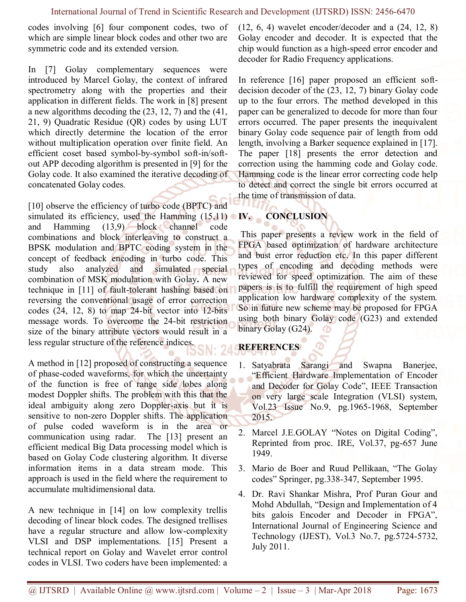codes involving [6] four component codes, two of which are simple linear block codes and other two are symmetric code and its extended version.

In [7] Golay complementary sequences were introduced by Marcel Golay, the context of infrared spectrometry along with the properties and their application in different fields. The work in [8] present a new algorithms decoding the (23, 12, 7) and the (41, 21, 9) Quadratic Residue (QR) codes by using LUT which directly determine the location of the error without multiplication operation over finite field. An efficient coset based symbol-by-symbol soft-in/softout APP decoding algorithm is presented in [9] for the Golay code. It also examined the iterative decoding of concatenated Golay codes.

[10] observe the efficiency of turbo code (BPTC) and simulated its efficiency, used the Hamming  $(15,11)$  N. and Hamming (13,9) block channel code combinations and block interleaving to construct a BPSK modulation and BPTC coding system in the concept of feedback encoding in turbo code. This study also analyzed and simulated special combination of MSK modulation with Golay**.** A new technique in [11] of fault-tolerant hashing based on reversing the conventional usage of error correction codes (24, 12, 8) to map 24-bit vector into 12-bits message words. To overcome the 24-bit restriction size of the binary attribute vectors would result in a less regular structure of the reference indices.

A method in [12] proposed of constructing a sequence of phase-coded waveforms, for which the uncertainty of the function is free of range side lobes along modest Doppler shifts. The problem with this that the ideal ambiguity along zero Doppler-axis but it is sensitive to non-zero Doppler shifts. The application of pulse coded waveform is in the area or communication using radar. The [13] present an efficient medical Big Data processing model which is based on Golay Code clustering algorithm. It diverse information items in a data stream mode. This approach is used in the field where the requirement to accumulate multidimensional data.

A new technique in [14] on low complexity trellis decoding of linear block codes. The designed trellises have a regular structure and allow low-complexity VLSI and DSP implementations. [15] Present a technical report on Golay and Wavelet error control codes in VLSI. Two coders have been implemented: a (12, 6, 4) wavelet encoder/decoder and a (24, 12, 8) Golay encoder and decoder. It is expected that the chip would function as a high-speed error encoder and decoder for Radio Frequency applications.

In reference [16] paper proposed an efficient softdecision decoder of the (23, 12, 7) binary Golay code up to the four errors. The method developed in this paper can be generalized to decode for more than four errors occurred. The paper presents the inequivalent binary Golay code sequence pair of length from odd length, involving a Barker sequence explained in [17]. The paper [18] presents the error detection and correction using the hamming code and Golay code. Hamming code is the linear error correcting code help to detect and correct the single bit errors occurred at the time of transmission of data.

# **IV. CONCLUSION**

This paper presents a review work in the field of FPGA based optimization of hardware architecture and bust error reduction etc. In this paper different types of encoding and decoding methods were reviewed for speed optimization. The aim of these papers is is to fulfill the requirement of high speed application low hardware complexity of the system. So in future new scheme may be proposed for FPGA using both binary Golay code (G23) and extended binary Golay (G24).

# **REFERENCES**

- 1. Satyabrata Sarangi and Swapna Banerjee, "Efficient Hardware Implementation of Encoder and Decoder for Golay Code", IEEE Transaction on very large scale Integration (VLSI) system, Vol.23 Issue No.9, pg.1965-1968, September 2015.
- 2. Marcel J.E.GOLAY "Notes on Digital Coding", Reprinted from proc. IRE, Vol.37, pg-657 June 1949.
- 3. Mario de Boer and Ruud Pellikaan, "The Golay codes" Springer, pg.338-347, September 1995.
- 4. Dr. Ravi Shankar Mishra, Prof Puran Gour and Mohd Abdullah, "Design and Implementation of 4 bits galois Encoder and Decoder in FPGA", International Journal of Engineering Science and Technology (IJEST), Vol.3 No.7, pg.5724-5732, July 2011.